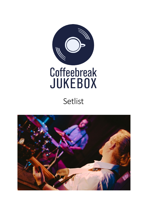

## Setlist

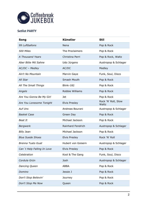

## **Setlist PARTY**

| Song                       | <b>Künstler</b>      | <b>Stil</b>                  |
|----------------------------|----------------------|------------------------------|
| 99 Luftballons             | Nena                 | Pop & Rock                   |
| 500 Miles                  | The Proclaimers      | Pop & Rock                   |
| A Thousand Years           | Christina Perri      | Pop & Rock, Waltz            |
| Aber Bitte Mit Sahne       | Udo Jürgens          | Austropop & Schlager         |
| AC/DC - Medley             | AC/DC                | Medley                       |
| Ain't No Mountain          | Marvin Gaye          | Funk, Soul, Disco            |
| All Star                   | Smash Mouth          | Pop & Rock                   |
| All The Small Things       | <b>Blink-182</b>     | Pop & Rock                   |
| Angels                     | Robbie Williams      | Pop & Rock                   |
| Are You Gonna Be My Girl   | Jet                  | Pop & Rock                   |
| Are You Lonesome Tonight   | <b>Elvis Presley</b> | Rock 'N' Roll, Slow<br>Waltz |
| <b>Auf Uns</b>             | Andreas Bourani      | Austropop & Schlager         |
| <b>Basket Case</b>         | Green Day            | Pop & Rock                   |
| Beat It                    | Michael Jackson      | Pop & Rock                   |
| <b>Bergwerk</b>            | Rainhard Fendrich    | Austropop & Schlager         |
| <b>Billy Jean</b>          | Michael Jackson      | Pop & Rock                   |
| <b>Blue Suede Shoes</b>    | <b>Elvis Presley</b> | Rock 'N' Roll                |
| <b>Brenna Tuats Guat</b>   | Hubert von Goisern   | Austropop & Schlager         |
| Can't Help Falling In Love | <b>Elvis Presley</b> | Pop & Rock                   |
| Celebration                | Kool & The Gang      | Funk, Soul, Disco            |
| Cordula Grün               | Josh                 | Austropop & Schlager         |
| Dancing Queen              | <b>ABBA</b>          | Pop & Rock                   |
| Domino                     | Jessie J             | Pop & Rock                   |
| Don't Stop Believin'       | Journey              | Pop & Rock                   |
| Don't Stop Me Now          | Queen                | Pop & Rock                   |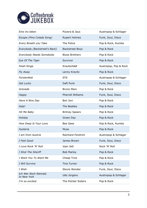

| Eine ins leben                      | Pizzera & Jaus           | Austropop & Schlager  |
|-------------------------------------|--------------------------|-----------------------|
| Escape (Pina Colada Song)           | <b>Rupert Holmes</b>     | Funk, Soul, Disco     |
| Every Breath you Take               | The Police               | Pop & Rock, Rumba     |
| Everybody (Backstreet's Back)       | <b>Backstreet Boys</b>   | Pop & Rock            |
| Everybody Needs Somebody            | <b>Blues Brothers</b>    | Pop & Rock            |
| Eye Of The Tiger                    | Survivor                 | Pop & Rock            |
| Feiah fonga                         | Krautschädl              | Austropop, Pop & Rock |
| Fly Away                            | Lenny Kravitz            | Pop & Rock            |
| Fürstenfeld                         | <b>STS</b>               | Austropop & Schlager  |
| Get Lucky                           | Daft Punk                | Funk, Soul, Disco     |
| Grenade                             | <b>Bruno Mars</b>        | Pop & Rock            |
| Happy                               | <b>Pharrell Williams</b> | Funk, Soul, Disco     |
| Have A Nice Day                     | Bon Jovi                 | Pop & Rock            |
| Help!                               | The Beatles              | Pop & Rock            |
| Hit Me Baby                         | <b>Britney Spears</b>    | Pop & Rock            |
| Holiday                             | Green Day                | Pop & Rock            |
| How Deep Is Your Love               | <b>Bee Gees</b>          | Pop & Rock, Rumba     |
| Hysteria                            | Muse                     | Pop & Rock            |
| I am from Austria                   | Rainhard Fendrich        | Austropop & Schlager  |
| I Feel Good                         | James Brown              | Funk, Soul, Disco     |
| I Love Rock 'N' Roll                | Joan Jett                | Rock 'N' Roll         |
| I Shot The Sheriff                  | <b>Bob Marley</b>        | Pop & Rock            |
| I Want You To Want Me               | Cheap Trick              | Pop & Rock            |
| I Will Survive                      | <b>Tina Turner</b>       | Pop & Rock            |
| I Wish                              | Stevie Wonder            | Funk, Soul, Disco     |
| Ich War Noch Niemals<br>In New York | Udo Jürgens              | Austropop & Schlager  |
| I'm so excited                      | The Pointer Sisters      | Pop & Rock            |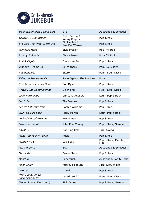

| Irgendwann bleib i dann durt            | <b>STS</b>                                  | Austropop & Schlager        |
|-----------------------------------------|---------------------------------------------|-----------------------------|
| Islands In The Stream                   | Dolly Parton &<br>Kenny Rogers              | Pop & Rock                  |
| I've Had The Time Of My Life            | <b>Bill Medley &amp;</b><br>Jennifer Warnes | Pop & Rock                  |
| Jailhouse Rock                          | <b>Elvis Presley</b>                        | Rock 'N' Roll               |
| Johnny B Goode                          | Chuck Berry                                 | Rock 'N' Roll               |
| Just A Gigolo                           | David Lee Roth                              | Pop & Rock                  |
| Just The Two Of Us                      | <b>Bill Withers</b>                         | Pop, Soul, Jazz             |
| Kabinenparty                            | Skero                                       | Funk, Soul, Disco           |
| Killing In The Name Of                  | Rage Against The Machine                    | Rock                        |
| Knockin on Heavens Door                 | Bob Dylan                                   | Pop & Rock                  |
| Krawall und Remmidemmi                  | Deichkind                                   | Funk, Soul, Disco           |
| Lady Marmalade                          | Christina Aguilera                          | Latin, Pop & Rock           |
| Let It Be                               | The Beatles                                 | Pop & Rock                  |
| Let Me Entertain You                    | Robbie Williams                             | Pop & Rock                  |
| Livin' La Vida Loca                     | <b>Ricky Martin</b>                         | Latin, Pop & Rock           |
| Locked Out Of Heaven                    | <b>Bruno Mars</b>                           | Pop & Rock                  |
| Love is in the air                      | John Paul Young                             | Pop & Rock, Samba           |
| L.O.V.E.                                | Nat King Cole                               | Jazz, Swing                 |
| Make You Feel My Love                   | Adele                                       | Pop & Rock                  |
| Mambo No 5                              | Lou Bega                                    | Pop & Rock, Mambo,<br>Latin |
| Märchenprinz                            | <b>EAV</b>                                  | Austropop & Schlager        |
| Marry You                               | <b>Bruno Mars</b>                           | Pop & Rock                  |
| Maschin                                 | Bilderbuch                                  | Austropop, Pop & Rock       |
| Moon River                              | Audrey Hepburn                              | Jazz, Slow Waltz            |
| <b>Narcotic</b>                         | Liquido                                     | Pop & Rock                  |
| Nein Mann, ich will<br>noch nicht geh'n | Laserkraft 3D                               | Funk, Soul, Disco           |
| Never Gonna Give You Up                 | <b>Rick Astley</b>                          | Pop & Rock, Samba           |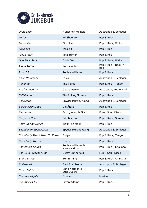

| Ohne Dich                    | Münchner Freiheit                  | Austropop & Schlager         |
|------------------------------|------------------------------------|------------------------------|
| Perfect                      | <b>Ed Sheeran</b>                  | Pop & Rock                   |
| Piano Man                    | <b>Billy Joel</b>                  | Pop & Rock, Waltz            |
| Price Tag                    | Jessie J                           | Pop & Rock                   |
| <b>Proud Mary</b>            | <b>Tina Turner</b>                 | Pop & Rock                   |
| Que Sera Sera                | Doris Day                          | Pop & Rock, Waltz            |
| <b>Reete Petite</b>          | Jackie Wilson                      | Pop & Rock, Rock 'N'<br>Roll |
| Rock DJ                      | Robbie Williams                    | Pop & Rock                   |
| <b>Rock Me Amadeus</b>       | Falco                              | Austropop & Schlager         |
| Roxanne                      | The Police                         | Pop & Rock, Tango            |
| Ruaf Mi Ned Au               | Georg Danzer                       | Austropop, Pop & Rock        |
| Satisfaction                 | The Rolling Stones                 | Pop & Rock                   |
| Schickeria                   | Spyder Murphy Gang                 | Austropop & Schlager         |
| Schrei Nach Liebe            | Die Ärzte                          | Pop & Rock                   |
| September                    | Earth, Wind & Fire                 | Funk, Soul, Disco            |
| Shape Of You                 | <b>Ed Sheeran</b>                  | Pop & Rock, Samba            |
| Shut Up And Dance            | Walk The Moon                      | Pop & Rock                   |
| Skandal im Sperrbezirk       | Spyder Murphy Gang                 | Austropop & Schlager         |
| Somebody That I Used To Know | Gotye                              | Pop & Rock, Tango            |
| Somebody To Love             | Queen                              | Pop & Rock                   |
| Something Stupid             | Robbie Williams &<br>Nicole Kidman | Pop & Rock, Cha-Cha          |
| Son Of A Preacher Man        | Dusty Springfield                  | Funk, Soul, Disco            |
| Stand By Me                  | Ben E. King                        | Pop & Rock, Cha-Cha          |
| <b>Steiermark</b>            | Gert Steinbäcker                   | Austropop & Schlager         |
| Stumblin' In                 | Chris Norman &<br>Suzi Quatro      | Pop & Rock                   |
| <b>Summer Nights</b>         | Grease                             | Musical                      |
| Summer Of 69                 | Bryan Adams                        | Pop & Rock                   |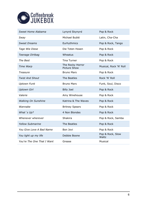

| Sweet Home Alabama         | Lynyrd Skynyrd                          | Pop & Rock                |
|----------------------------|-----------------------------------------|---------------------------|
| Sway                       | Michael Bublé                           | Latin, Cha-Cha            |
| <b>Sweet Dreams</b>        | Eurhythmics                             | Pop & Rock, Tango         |
| Tage Wie Diese             | Die Toten Hosen                         | Pop & Rock                |
| Teenage Dirtbag            | Wheatus                                 | Pop & Rock                |
| The Best                   | <b>Tina Turner</b>                      | Pop & Rock                |
| Time Warp                  | The Rocky Horror<br><b>Picture Show</b> | Musical, Rock 'N' Roll    |
| <b>Treasure</b>            | <b>Bruno Mars</b>                       | Pop & Rock                |
| <b>Twist And Shout</b>     | The Beatles                             | Rock 'N' Roll             |
| <b>Uptown Funk</b>         | <b>Bruno Mars</b>                       | Funk, Soul, Disco         |
| <b>Uptown Girl</b>         | <b>Billy Joel</b>                       | Pop & Rock                |
| Valerie                    | Amy Winehouse                           | Pop & Rock                |
| <b>Walking On Sunshine</b> | Katrina & The Waves                     | Pop & Rock                |
| Wannabe                    | <b>Britney Spears</b>                   | Pop & Rock                |
| What's Up?                 | 4 Non Blondes                           | Pop & Rock                |
| Whenever wherever          | Shakira                                 | Pop & Rock, Samba         |
| <b>Yellow Submarine</b>    | The Beatles                             | Pop & Rock                |
| You Give Love A Bad Name   | Bon Jovi                                | Pop & Rock                |
| You light up my life       | Debbie Boone                            | Pop & Rock, Slow<br>Waltz |
| You're The One That I Want | Grease                                  | Musical                   |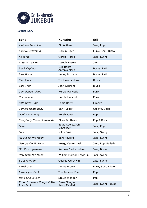

## **Setlist JAZZ**

| Song                                       | <b>Künstler</b>                  | <b>Stil</b>        |
|--------------------------------------------|----------------------------------|--------------------|
| Ain't No Sunshine                          | <b>Bill Withers</b>              | Jazz, Pop          |
| Ain't No Mountain                          | Marvin Gaye                      | Funk, Soul, Disco  |
| All of Me                                  | <b>Gerald Marks</b>              | Jazz, Swing        |
| Autumn Leaves                              | Joseph Kosma                     | Jazz               |
| <b>Black Orpheus</b>                       | Luiz Bonfá<br>Antonio Maria      | Bossa, Latin       |
| <b>Blue Bossa</b>                          | Kenny Dorham                     | Bossa, Latin       |
| <b>Blue Monk</b>                           | <b>Thelonious Monk</b>           | <b>Blues</b>       |
| <b>Blue Train</b>                          | John Coltrane                    | <b>Blues</b>       |
| Cantaloupe Island                          | Herbie Hancock                   | Funk               |
| Chameleon                                  | Herbie Hancock                   | Funk               |
| Cold Duck Time                             | <b>Eddie Harris</b>              | Groove             |
| Coming Home Baby                           | <b>Ben Tucker</b>                | Groove, Blues      |
| Don't Know Why                             | Norah Jones                      | Pop                |
| Everybody Needs Somebody                   | <b>Blues Brothers</b>            | Pop & Rock         |
| Fever                                      | Eddie Cooley/John<br>Davenport   | Jazz, Pop          |
| Four                                       | <b>Miles Davis</b>               | Jazz, Swing        |
| Fly Me To The Moon                         | <b>Bart Howard</b>               | Jazz, Swing        |
| Georgia On My Mind                         | Hoagy Carmichael                 | Jazz, Pop, Ballade |
| Girl From Ipanema                          | Antonio Carlos Jobim             | Jazz, Bossa        |
| How High The Moon                          | William Morgan Lewis Jr.         | Jazz, Swing        |
| I Got Rhythm                               | George Gershwin                  | Jazz, Swing        |
| I Feel Good                                | James Brown                      | Funk, Soul, Disco  |
| I Want you Back                            | The Jackson Five                 | Pop                |
| Isn't She Lovely                           | Stevie Wonder                    | Pop                |
| It don't mean a thing/Hit The<br>Road Jack | Duke Ellington<br>Percy Mayfield | Jazz, Swing, Blues |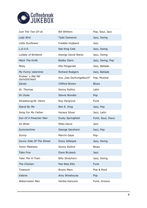

| Just The Two Of Us                 | <b>Bill Withers</b>     | Pop, Soul, Jazz   |
|------------------------------------|-------------------------|-------------------|
| Lady Bird                          | <b>Tadd Dameron</b>     | Jazz, Swing       |
| Little Sunflower                   | Freddie Hubbard         | Jazz              |
| L.O.V.E.                           | Nat King Cole           | Jazz, Swing       |
| Lullaby of Birdland                | George David Weiss      | Jazz, Swing       |
| <b>Mack The Knife</b>              | <b>Bobby Darin</b>      | Jazz, Swing, Pop  |
| Misty                              | Ella Fitzgerald         | Jazz, Ballade     |
| My Funny Valentine                 | <b>Richard Rodgers</b>  | Jazz, Ballade     |
| Probier's Mal Mit<br>Gemütlichkeit | Aus "Das Dschungelbuch" | Pop, Musical      |
| Sandu                              | <b>Clifford Brown</b>   | <b>Blues</b>      |
| St. Thomas                         | Sonny Rollins           | Latin             |
| Sir Duke                           | Stevie Wonder           | Pop               |
| Strasbourg/St. Denis               | Roy Hargrove            | Funk              |
| <b>Stand By Me</b>                 | Ben E. King             | Jazz, Pop         |
| Song For My Father                 | Horace Silver           | Jazz, Latin       |
| Son Of A Preacher Man              | Dusty Springfield       | Funk, Soul, Disco |
| So What                            | <b>Miles Davis</b>      | Jazz              |
| Summertime                         | George Gershwin         | Jazz, Pop         |
| Sunny                              | Marvin Gaye             | Pop               |
| Sunny Side Of The Street           | Dizzy Gillespie         | Jazz, Swing       |
| <b>Tenor Madness</b>               | Sonny Rollins           | <b>Blues</b>      |
| <b>Take Five</b>                   | Dave Brubeck            | Jazz              |
| Take The A-Train                   | <b>Billy Strayhorn</b>  | Jazz, Swing       |
| The Chicken                        | Pee Wee Ellis           | Funk              |
| Treasure                           | <b>Bruno Mars</b>       | Pop & Rock        |
| Valerie                            | Amy Winehouse           | Pop               |
| <b>Watermelon Man</b>              | Herbie Hancock          | Funk, Groove      |